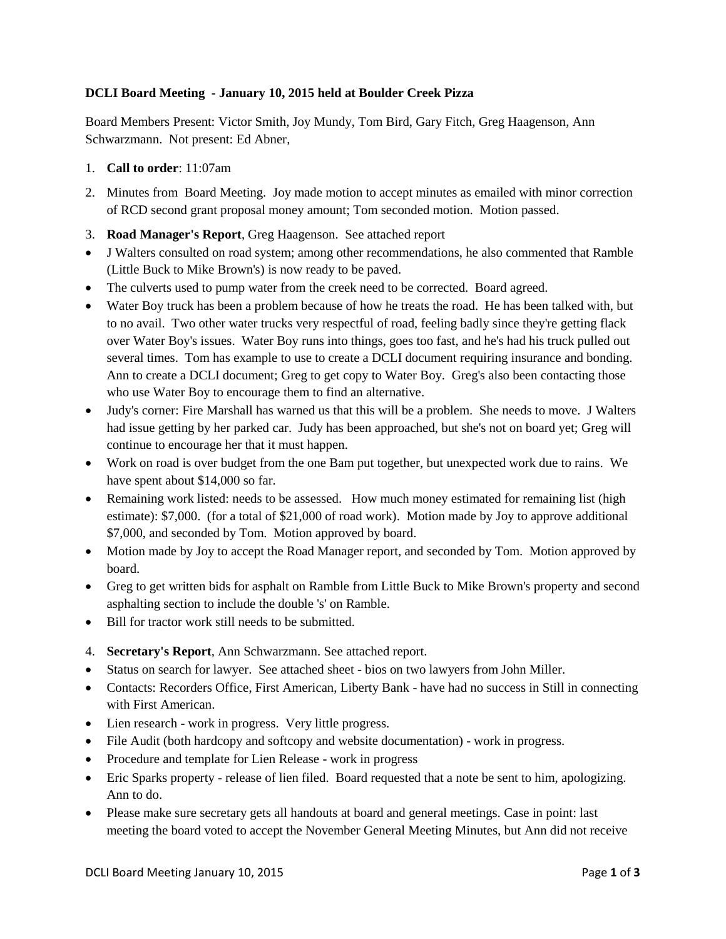## **DCLI Board Meeting - January 10, 2015 held at Boulder Creek Pizza**

Board Members Present: Victor Smith, Joy Mundy, Tom Bird, Gary Fitch, Greg Haagenson, Ann Schwarzmann. Not present: Ed Abner,

- 1. **Call to order**: 11:07am
- 2. Minutes from Board Meeting. Joy made motion to accept minutes as emailed with minor correction of RCD second grant proposal money amount; Tom seconded motion. Motion passed.
- 3. **Road Manager's Report**, Greg Haagenson. See attached report
- J Walters consulted on road system; among other recommendations, he also commented that Ramble (Little Buck to Mike Brown's) is now ready to be paved.
- The culverts used to pump water from the creek need to be corrected. Board agreed.
- Water Boy truck has been a problem because of how he treats the road. He has been talked with, but to no avail. Two other water trucks very respectful of road, feeling badly since they're getting flack over Water Boy's issues. Water Boy runs into things, goes too fast, and he's had his truck pulled out several times. Tom has example to use to create a DCLI document requiring insurance and bonding. Ann to create a DCLI document; Greg to get copy to Water Boy. Greg's also been contacting those who use Water Boy to encourage them to find an alternative.
- Judy's corner: Fire Marshall has warned us that this will be a problem. She needs to move. J Walters had issue getting by her parked car. Judy has been approached, but she's not on board yet; Greg will continue to encourage her that it must happen.
- Work on road is over budget from the one Bam put together, but unexpected work due to rains. We have spent about \$14,000 so far.
- Remaining work listed: needs to be assessed. How much money estimated for remaining list (high estimate): \$7,000. (for a total of \$21,000 of road work). Motion made by Joy to approve additional \$7,000, and seconded by Tom. Motion approved by board.
- Motion made by Joy to accept the Road Manager report, and seconded by Tom. Motion approved by board.
- Greg to get written bids for asphalt on Ramble from Little Buck to Mike Brown's property and second asphalting section to include the double 's' on Ramble.
- Bill for tractor work still needs to be submitted.
- 4. **Secretary's Report**, Ann Schwarzmann. See attached report.
- Status on search for lawyer. See attached sheet bios on two lawyers from John Miller.
- Contacts: Recorders Office, First American, Liberty Bank have had no success in Still in connecting with First American.
- Lien research work in progress. Very little progress.
- File Audit (both hardcopy and softcopy and website documentation) work in progress.
- Procedure and template for Lien Release work in progress
- Eric Sparks property release of lien filed. Board requested that a note be sent to him, apologizing. Ann to do.
- Please make sure secretary gets all handouts at board and general meetings. Case in point: last meeting the board voted to accept the November General Meeting Minutes, but Ann did not receive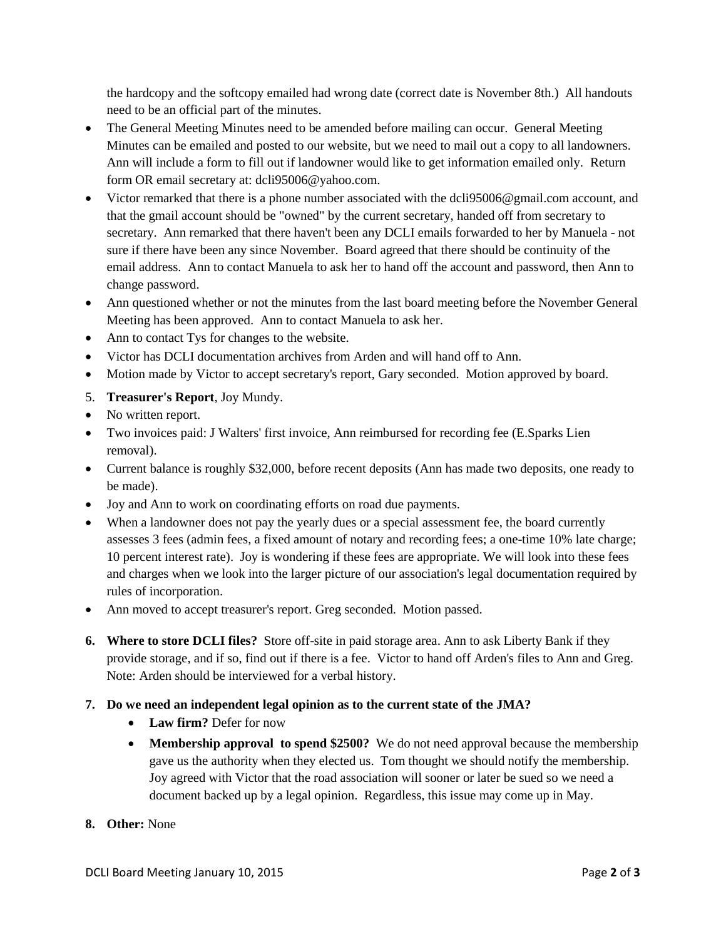the hardcopy and the softcopy emailed had wrong date (correct date is November 8th.) All handouts need to be an official part of the minutes.

- The General Meeting Minutes need to be amended before mailing can occur. General Meeting Minutes can be emailed and posted to our website, but we need to mail out a copy to all landowners. Ann will include a form to fill out if landowner would like to get information emailed only. Return form OR email secretary at: dcli95006@yahoo.com.
- Victor remarked that there is a phone number associated with the dcli95006@gmail.com account, and that the gmail account should be "owned" by the current secretary, handed off from secretary to secretary. Ann remarked that there haven't been any DCLI emails forwarded to her by Manuela - not sure if there have been any since November. Board agreed that there should be continuity of the email address. Ann to contact Manuela to ask her to hand off the account and password, then Ann to change password.
- Ann questioned whether or not the minutes from the last board meeting before the November General Meeting has been approved. Ann to contact Manuela to ask her.
- Ann to contact Tys for changes to the website.
- Victor has DCLI documentation archives from Arden and will hand off to Ann.
- Motion made by Victor to accept secretary's report, Gary seconded. Motion approved by board.
- 5. **Treasurer's Report**, Joy Mundy.
- No written report.
- Two invoices paid: J Walters' first invoice, Ann reimbursed for recording fee (E.Sparks Lien removal).
- Current balance is roughly \$32,000, before recent deposits (Ann has made two deposits, one ready to be made).
- Joy and Ann to work on coordinating efforts on road due payments.
- When a landowner does not pay the yearly dues or a special assessment fee, the board currently assesses 3 fees (admin fees, a fixed amount of notary and recording fees; a one-time 10% late charge; 10 percent interest rate). Joy is wondering if these fees are appropriate. We will look into these fees and charges when we look into the larger picture of our association's legal documentation required by rules of incorporation.
- Ann moved to accept treasurer's report. Greg seconded. Motion passed.
- **6. Where to store DCLI files?** Store off-site in paid storage area. Ann to ask Liberty Bank if they provide storage, and if so, find out if there is a fee. Victor to hand off Arden's files to Ann and Greg. Note: Arden should be interviewed for a verbal history.
- **7. Do we need an independent legal opinion as to the current state of the JMA?**
	- **Law firm?** Defer for now
	- Membership approval to spend \$2500? We do not need approval because the membership gave us the authority when they elected us. Tom thought we should notify the membership. Joy agreed with Victor that the road association will sooner or later be sued so we need a document backed up by a legal opinion. Regardless, this issue may come up in May.
- **8. Other:** None